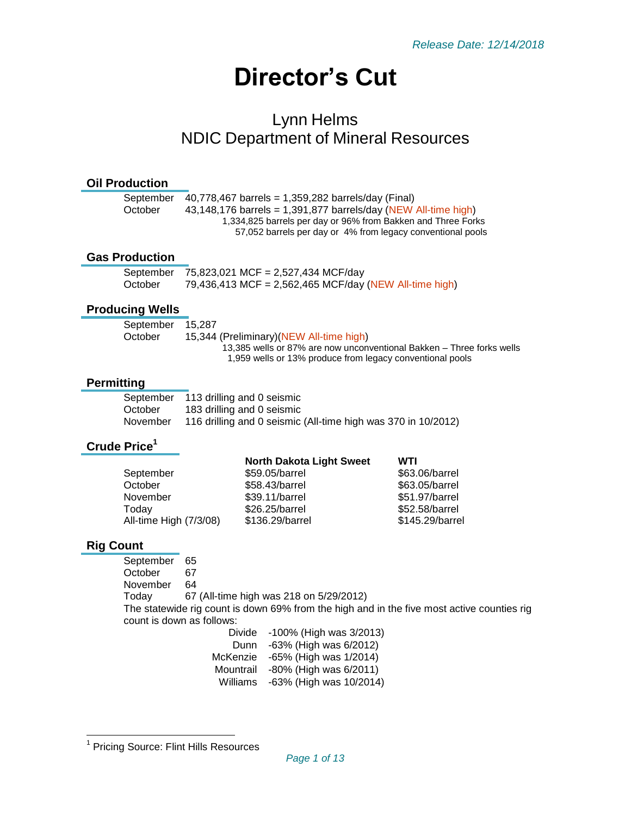# **Director's Cut**

# Lynn Helms NDIC Department of Mineral Resources

#### **Oil Production**

| 40,778,467 barrels = 1,359,282 barrels/day (Final)             |
|----------------------------------------------------------------|
| 43,148,176 barrels = 1,391,877 barrels/day (NEW All-time high) |
| 1,334,825 barrels per day or 96% from Bakken and Three Forks   |
| 57,052 barrels per day or 4% from legacy conventional pools    |
|                                                                |

### **Gas Production**

|         | September $75,823,021$ MCF = 2,527,434 MCF/day         |
|---------|--------------------------------------------------------|
| October | 79,436,413 MCF = 2,562,465 MCF/day (NEW All-time high) |

#### **Producing Wells**

| September | 15.287                                                                |
|-----------|-----------------------------------------------------------------------|
| October   | 15,344 (Preliminary)(NEW All-time high)                               |
|           | 13,385 wells or 87% are now unconventional Bakken – Three forks wells |
|           | 1,959 wells or 13% produce from legacy conventional pools             |
|           |                                                                       |

#### **Permitting**

|          | September 113 drilling and 0 seismic                          |
|----------|---------------------------------------------------------------|
| October  | 183 drilling and 0 seismic                                    |
| November | 116 drilling and 0 seismic (All-time high was 370 in 10/2012) |

# **Crude Price<sup>1</sup>**

|                        | <b>North Dakota Light Sweet</b> | WTI             |
|------------------------|---------------------------------|-----------------|
| September              | \$59.05/barrel                  | \$63.06/barrel  |
| October                | \$58.43/barrel                  | \$63.05/barrel  |
| November               | \$39.11/barrel                  | \$51.97/barrel  |
| Today                  | \$26.25/barrel                  | \$52.58/barrel  |
| All-time High (7/3/08) | \$136.29/barrel                 | \$145.29/barrel |
|                        |                                 |                 |

# **Rig Count**

September 65 October 67 November 64 Today 67 (All-time high was 218 on 5/29/2012) The statewide rig count is down 69% from the high and in the five most active counties rig count is down as follows:

| Divide    | -100% (High was 3/2013) |
|-----------|-------------------------|
| Dunn      | -63% (High was 6/2012)  |
| McKenzie  | -65% (High was 1/2014)  |
| Mountrail | -80% (High was 6/2011)  |
| Williams  | -63% (High was 10/2014) |

 1 Pricing Source: Flint Hills Resources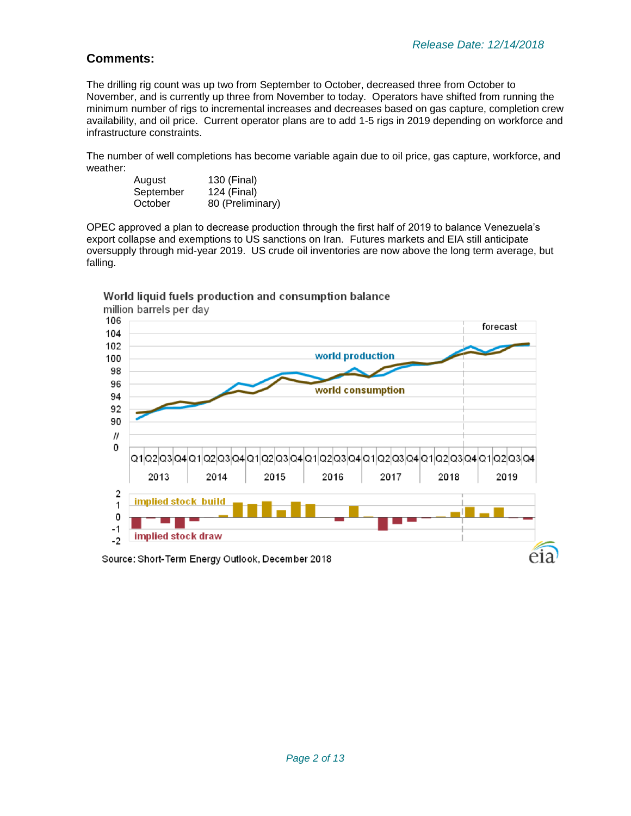# **Comments:**

The drilling rig count was up two from September to October, decreased three from October to November, and is currently up three from November to today. Operators have shifted from running the minimum number of rigs to incremental increases and decreases based on gas capture, completion crew availability, and oil price. Current operator plans are to add 1-5 rigs in 2019 depending on workforce and infrastructure constraints.

The number of well completions has become variable again due to oil price, gas capture, workforce, and weather:

| August    | 130 (Final)      |
|-----------|------------------|
| September | 124 (Final)      |
| October   | 80 (Preliminary) |

OPEC approved a plan to decrease production through the first half of 2019 to balance Venezuela's export collapse and exemptions to US sanctions on Iran. Futures markets and EIA still anticipate oversupply through mid-year 2019. US crude oil inventories are now above the long term average, but falling.



World liquid fuels production and consumption balance

Source: Short-Term Energy Outlook, December 2018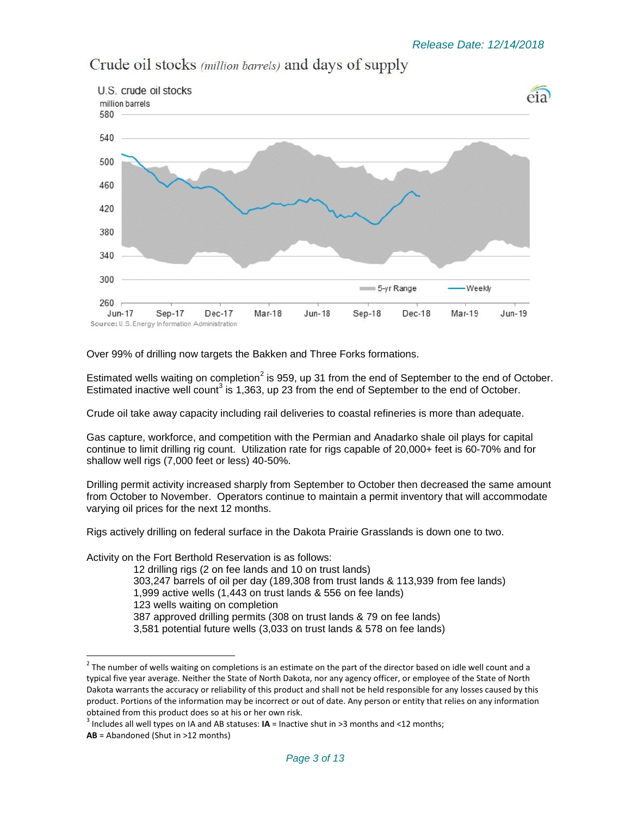

Crude oil stocks (million barrels) and days of supply

Over 99% of drilling now targets the Bakken and Three Forks formations.

Estimated wells waiting on completion<sup>2</sup> is 959, up 31 from the end of September to the end of October. Estimated inactive well count<sup>3</sup> is 1,363, up 23 from the end of September to the end of October.

Crude oil take away capacity including rail deliveries to coastal refineries is more than adequate.

Gas capture, workforce, and competition with the Permian and Anadarko shale oil plays for capital continue to limit drilling rig count. Utilization rate for rigs capable of 20,000+ feet is 60-70% and for shallow well rigs (7,000 feet or less) 40-50%.

Drilling permit activity increased sharply from September to October then decreased the same amount from October to November. Operators continue to maintain a permit inventory that will accommodate varying oil prices for the next 12 months.

Rigs actively drilling on federal surface in the Dakota Prairie Grasslands is down one to two.

Activity on the Fort Berthold Reservation is as follows:

12 drilling rigs (2 on fee lands and 10 on trust lands) 303,247 barrels of oil per day (189,308 from trust lands & 113,939 from fee lands) 1,999 active wells (1,443 on trust lands & 556 on fee lands) 123 wells waiting on completion 387 approved drilling permits (308 on trust lands & 79 on fee lands) 3,581 potential future wells (3,033 on trust lands & 578 on fee lands)

l

 $^2$  The number of wells waiting on completions is an estimate on the part of the director based on idle well count and a typical five year average. Neither the State of North Dakota, nor any agency officer, or employee of the State of North Dakota warrants the accuracy or reliability of this product and shall not be held responsible for any losses caused by this product. Portions of the information may be incorrect or out of date. Any person or entity that relies on any information obtained from this product does so at his or her own risk.

<sup>3</sup> Includes all well types on IA and AB statuses: **IA** = Inactive shut in >3 months and <12 months;

**AB** = Abandoned (Shut in >12 months)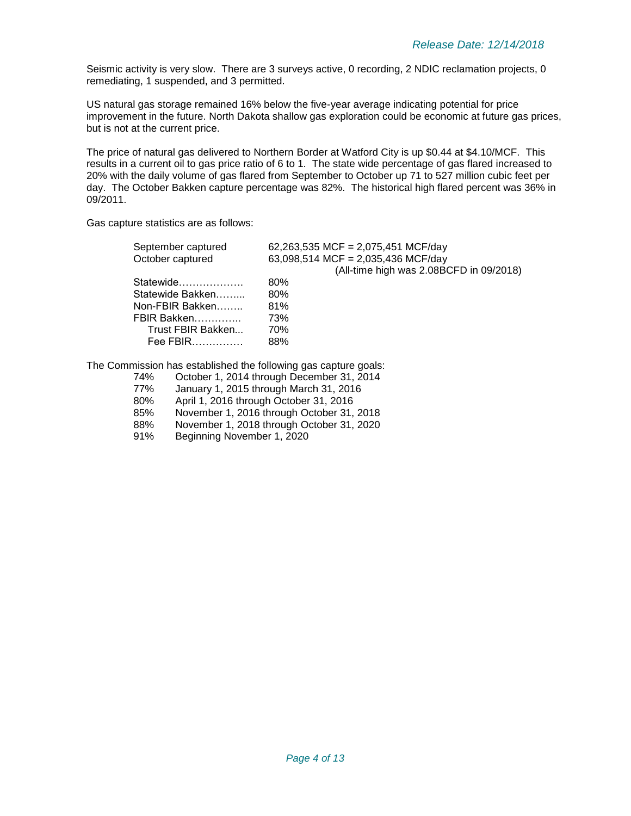Seismic activity is very slow. There are 3 surveys active, 0 recording, 2 NDIC reclamation projects, 0 remediating, 1 suspended, and 3 permitted.

US natural gas storage remained 16% below the five-year average indicating potential for price improvement in the future. North Dakota shallow gas exploration could be economic at future gas prices, but is not at the current price.

The price of natural gas delivered to Northern Border at Watford City is up \$0.44 at \$4.10/MCF. This results in a current oil to gas price ratio of 6 to 1. The state wide percentage of gas flared increased to 20% with the daily volume of gas flared from September to October up 71 to 527 million cubic feet per day. The October Bakken capture percentage was 82%. The historical high flared percent was 36% in 09/2011.

Gas capture statistics are as follows:

| September captured | 62,263,535 MCF = 2,075,451 MCF/day      |
|--------------------|-----------------------------------------|
| October captured   | 63,098,514 MCF = 2,035,436 MCF/day      |
|                    | (All-time high was 2.08BCFD in 09/2018) |
| Statewide          | 80%                                     |
| Statewide Bakken   | 80%                                     |
| Non-FBIR Bakken    | 81%                                     |
| FBIR Bakken        | 73%                                     |
| Trust FBIR Bakken  | 70%                                     |
| Fee FBIR           | 88%                                     |
|                    |                                         |

The Commission has established the following gas capture goals:

- 74% October 1, 2014 through December 31, 2014 77% January 1, 2015 through March 31, 2016 80% April 1, 2016 through October 31, 2016
- 85% November 1, 2016 through October 31, 2018
- 88% November 1, 2018 through October 31, 2020<br>91% Beginning November 1, 2020
- Beginning November 1, 2020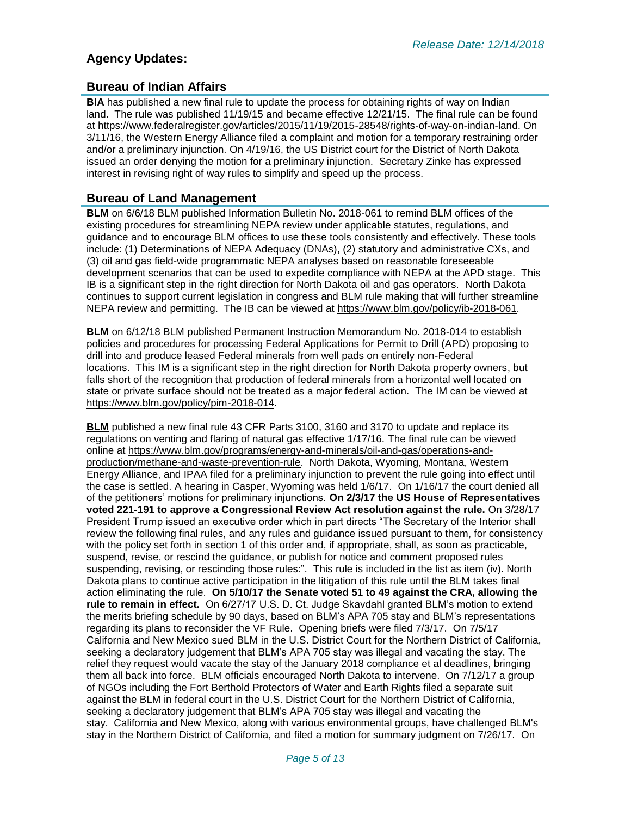# **Agency Updates:**

#### **Bureau of Indian Affairs**

**BIA** has published a new final rule to update the process for obtaining rights of way on Indian land. The rule was published 11/19/15 and became effective 12/21/15. The final rule can be found at [https://www.federalregister.gov/articles/2015/11/19/2015-28548/rights-of-way-on-indian-land.](https://www.federalregister.gov/articles/2015/11/19/2015-28548/rights-of-way-on-indian-land) On 3/11/16, the Western Energy Alliance filed a complaint and motion for a temporary restraining order and/or a preliminary injunction. On 4/19/16, the US District court for the District of North Dakota issued an order denying the motion for a preliminary injunction. Secretary Zinke has expressed interest in revising right of way rules to simplify and speed up the process.

### **Bureau of Land Management**

**BLM** on 6/6/18 BLM published Information Bulletin No. 2018-061 to remind BLM offices of the existing procedures for streamlining NEPA review under applicable statutes, regulations, and guidance and to encourage BLM offices to use these tools consistently and effectively. These tools include: (1) Determinations of NEPA Adequacy (DNAs), (2) statutory and administrative CXs, and (3) oil and gas field-wide programmatic NEPA analyses based on reasonable foreseeable development scenarios that can be used to expedite compliance with NEPA at the APD stage. This IB is a significant step in the right direction for North Dakota oil and gas operators. North Dakota continues to support current legislation in congress and BLM rule making that will further streamline NEPA review and permitting. The IB can be viewed at [https://www.blm.gov/policy/ib-2018-061.](https://www.blm.gov/policy/ib-2018-061)

**BLM** on 6/12/18 BLM published Permanent Instruction Memorandum No. 2018-014 to establish policies and procedures for processing Federal Applications for Permit to Drill (APD) proposing to drill into and produce leased Federal minerals from well pads on entirely non-Federal locations. This IM is a significant step in the right direction for North Dakota property owners, but falls short of the recognition that production of federal minerals from a horizontal well located on state or private surface should not be treated as a major federal action. The IM can be viewed at [https://www.blm.gov/policy/pim-2018-014.](https://www.blm.gov/policy/pim-2018-014)

**BLM** published a new final rule 43 CFR Parts 3100, 3160 and 3170 to update and replace its regulations on venting and flaring of natural gas effective 1/17/16. The final rule can be viewed online at [https://www.blm.gov/programs/energy-and-minerals/oil-and-gas/operations-and](https://www.blm.gov/programs/energy-and-minerals/oil-and-gas/operations-and-production/methane-and-waste-prevention-rule)[production/methane-and-waste-prevention-rule.](https://www.blm.gov/programs/energy-and-minerals/oil-and-gas/operations-and-production/methane-and-waste-prevention-rule) North Dakota, Wyoming, Montana, Western Energy Alliance, and IPAA filed for a preliminary injunction to prevent the rule going into effect until the case is settled. A hearing in Casper, Wyoming was held 1/6/17. On 1/16/17 the court denied all of the petitioners' motions for preliminary injunctions. **On 2/3/17 the US House of Representatives voted 221-191 to approve a Congressional Review Act resolution against the rule.** On 3/28/17 President Trump issued an executive order which in part directs "The Secretary of the Interior shall review the following final rules, and any rules and guidance issued pursuant to them, for consistency with the policy set forth in section 1 of this order and, if appropriate, shall, as soon as practicable, suspend, revise, or rescind the guidance, or publish for notice and comment proposed rules suspending, revising, or rescinding those rules:". This rule is included in the list as item (iv). North Dakota plans to continue active participation in the litigation of this rule until the BLM takes final action eliminating the rule. **On 5/10/17 the Senate voted 51 to 49 against the CRA, allowing the rule to remain in effect.** On 6/27/17 U.S. D. Ct. Judge Skavdahl granted BLM's motion to extend the merits briefing schedule by 90 days, based on BLM's APA 705 stay and BLM's representations regarding its plans to reconsider the VF Rule. Opening briefs were filed 7/3/17. On 7/5/17 California and New Mexico sued BLM in the U.S. District Court for the Northern District of California, seeking a declaratory judgement that BLM's APA 705 stay was illegal and vacating the stay. The relief they request would vacate the stay of the January 2018 compliance et al deadlines, bringing them all back into force. BLM officials encouraged North Dakota to intervene. On 7/12/17 a group of NGOs including the Fort Berthold Protectors of Water and Earth Rights filed a separate suit against the BLM in federal court in the U.S. District Court for the Northern District of California, seeking a declaratory judgement that BLM's APA 705 stay was illegal and vacating the stay. California and New Mexico, along with various environmental groups, have challenged BLM's stay in the Northern District of California, and filed a motion for summary judgment on 7/26/17. On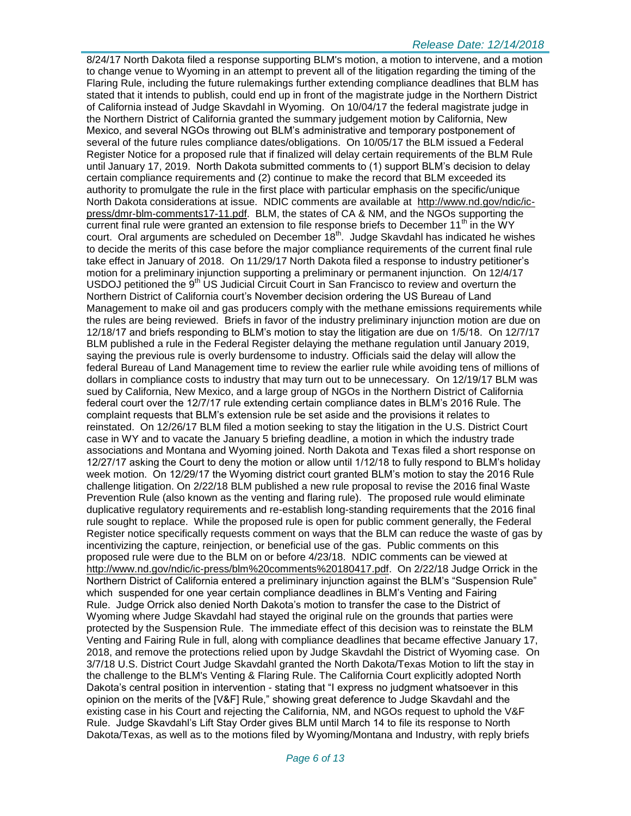#### *Release Date: 12/14/2018*

8/24/17 North Dakota filed a response supporting BLM's motion, a motion to intervene, and a motion to change venue to Wyoming in an attempt to prevent all of the litigation regarding the timing of the Flaring Rule, including the future rulemakings further extending compliance deadlines that BLM has stated that it intends to publish, could end up in front of the magistrate judge in the Northern District of California instead of Judge Skavdahl in Wyoming. On 10/04/17 the federal magistrate judge in the Northern District of California granted the summary judgement motion by California, New Mexico, and several NGOs throwing out BLM's administrative and temporary postponement of several of the future rules compliance dates/obligations. On 10/05/17 the BLM issued a Federal Register Notice for a proposed rule that if finalized will delay certain requirements of the BLM Rule until January 17, 2019. North Dakota submitted comments to (1) support BLM's decision to delay certain compliance requirements and (2) continue to make the record that BLM exceeded its authority to promulgate the rule in the first place with particular emphasis on the specific/unique North Dakota considerations at issue. NDIC comments are available at [http://www.nd.gov/ndic/ic](http://www.nd.gov/ndic/ic-press/dmr-blm-comments17-11.pdf)[press/dmr-blm-comments17-11.pdf.](http://www.nd.gov/ndic/ic-press/dmr-blm-comments17-11.pdf) BLM, the states of CA & NM, and the NGOs supporting the current final rule were granted an extension to file response briefs to December  $11<sup>th</sup>$  in the WY court. Oral arguments are scheduled on December  $18^{th}$ . Judge Skavdahl has indicated he wishes to decide the merits of this case before the major compliance requirements of the current final rule take effect in January of 2018. On 11/29/17 North Dakota filed a response to industry petitioner's motion for a preliminary injunction supporting a preliminary or permanent injunction. On 12/4/17 USDOJ petitioned the 9<sup>th</sup> US Judicial Circuit Court in San Francisco to review and overturn the Northern District of California court's November decision ordering the US Bureau of Land Management to make oil and gas producers comply with the methane emissions requirements while the rules are being reviewed. Briefs in favor of the industry preliminary injunction motion are due on 12/18/17 and briefs responding to BLM's motion to stay the litigation are due on 1/5/18. On 12/7/17 BLM published a rule in the Federal Register delaying the methane regulation until January 2019, saying the previous rule is overly burdensome to industry. Officials said the delay will allow the federal Bureau of Land Management time to review the earlier rule while avoiding tens of millions of dollars in compliance costs to industry that may turn out to be unnecessary. On 12/19/17 BLM was sued by California, New Mexico, and a large group of NGOs in the Northern District of California federal court over the 12/7/17 rule extending certain compliance dates in BLM's 2016 Rule. The complaint requests that BLM's extension rule be set aside and the provisions it relates to reinstated. On 12/26/17 BLM filed a motion seeking to stay the litigation in the U.S. District Court case in WY and to vacate the January 5 briefing deadline, a motion in which the industry trade associations and Montana and Wyoming joined. North Dakota and Texas filed a short response on 12/27/17 asking the Court to deny the motion or allow until 1/12/18 to fully respond to BLM's holiday week motion. On 12/29/17 the Wyoming district court granted BLM's motion to stay the 2016 Rule challenge litigation. On 2/22/18 BLM published a new rule proposal to revise the 2016 final Waste Prevention Rule (also known as the venting and flaring rule). The proposed rule would eliminate duplicative regulatory requirements and re-establish long-standing requirements that the 2016 final rule sought to replace. While the proposed rule is open for public comment generally, the Federal Register notice specifically requests comment on ways that the BLM can reduce the waste of gas by incentivizing the capture, reinjection, or beneficial use of the gas. Public comments on this proposed rule were due to the BLM on or before 4/23/18. NDIC comments can be viewed at [http://www.nd.gov/ndic/ic-press/blm%20comments%20180417.pdf.](http://www.nd.gov/ndic/ic-press/blm%20comments%20180417.pdf) On 2/22/18 Judge Orrick in the Northern District of California entered a preliminary injunction against the BLM's "Suspension Rule" which suspended for one year certain compliance deadlines in BLM's Venting and Fairing Rule. Judge Orrick also denied North Dakota's motion to transfer the case to the District of Wyoming where Judge Skavdahl had stayed the original rule on the grounds that parties were protected by the Suspension Rule. The immediate effect of this decision was to reinstate the BLM Venting and Fairing Rule in full, along with compliance deadlines that became effective January 17, 2018, and remove the protections relied upon by Judge Skavdahl the District of Wyoming case. On 3/7/18 U.S. District Court Judge Skavdahl granted the North Dakota/Texas Motion to lift the stay in the challenge to the BLM's Venting & Flaring Rule. The California Court explicitly adopted North Dakota's central position in intervention - stating that "I express no judgment whatsoever in this opinion on the merits of the [V&F] Rule," showing great deference to Judge Skavdahl and the existing case in his Court and rejecting the California, NM, and NGOs request to uphold the V&F Rule. Judge Skavdahl's Lift Stay Order gives BLM until March 14 to file its response to North Dakota/Texas, as well as to the motions filed by Wyoming/Montana and Industry, with reply briefs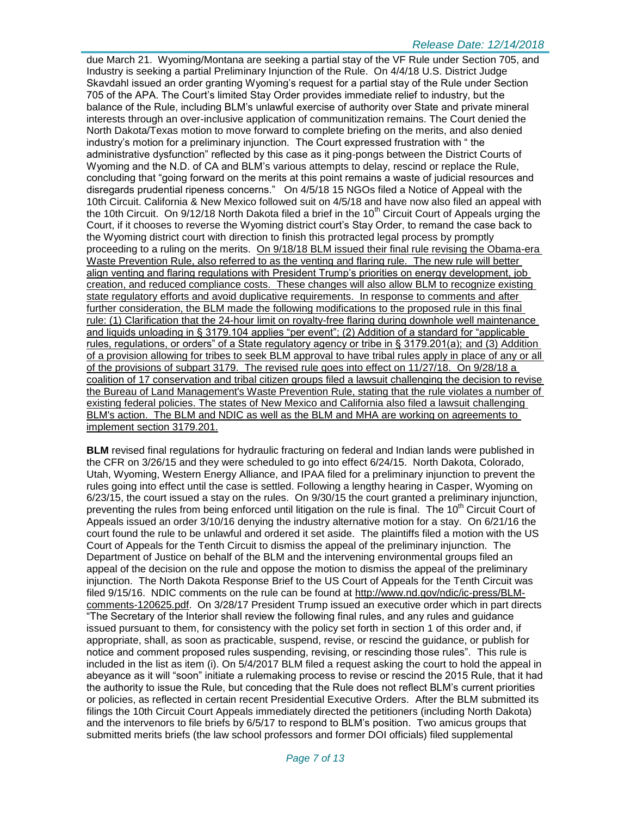#### *Release Date: 12/14/2018*

due March 21. Wyoming/Montana are seeking a partial stay of the VF Rule under Section 705, and Industry is seeking a partial Preliminary Injunction of the Rule. On 4/4/18 U.S. District Judge Skavdahl issued an order granting Wyoming's request for a partial stay of the Rule under Section 705 of the APA. The Court's limited Stay Order provides immediate relief to industry, but the balance of the Rule, including BLM's unlawful exercise of authority over State and private mineral interests through an over-inclusive application of communitization remains. The Court denied the North Dakota/Texas motion to move forward to complete briefing on the merits, and also denied industry's motion for a preliminary injunction. The Court expressed frustration with " the administrative dysfunction" reflected by this case as it ping-pongs between the District Courts of Wyoming and the N.D. of CA and BLM's various attempts to delay, rescind or replace the Rule, concluding that "going forward on the merits at this point remains a waste of judicial resources and disregards prudential ripeness concerns." On 4/5/18 15 NGOs filed a Notice of Appeal with the 10th Circuit. California & New Mexico followed suit on 4/5/18 and have now also filed an appeal with the 10th Circuit. On 9/12/18 North Dakota filed a brief in the 10<sup>th</sup> Circuit Court of Appeals urging the Court, if it chooses to reverse the Wyoming district court's Stay Order, to remand the case back to the Wyoming district court with direction to finish this protracted legal process by promptly proceeding to a ruling on the merits. On 9/18/18 BLM issued their final rule revising the Obama-era Waste Prevention Rule, also referred to as the venting and flaring rule. The new rule will better align venting and flaring regulations with President Trump's priorities on energy development, job creation, and reduced compliance costs. These changes will also allow BLM to recognize existing state regulatory efforts and avoid duplicative requirements. In response to comments and after further consideration, the BLM made the following modifications to the proposed rule in this final rule: (1) Clarification that the 24-hour limit on royalty-free flaring during downhole well maintenance and liquids unloading in § 3179.104 applies "per event"; (2) Addition of a standard for "applicable rules, regulations, or orders" of a State regulatory agency or tribe in § 3179.201(a); and (3) Addition of a provision allowing for tribes to seek BLM approval to have tribal rules apply in place of any or all of the provisions of subpart 3179. The revised rule goes into effect on 11/27/18. On 9/28/18 a coalition of 17 conservation and tribal citizen groups filed a lawsuit challenging the decision to revise the Bureau of Land Management's Waste Prevention Rule, stating that the rule violates a number of existing federal policies. The states of New Mexico and California also filed a lawsuit challenging BLM's action. The BLM and NDIC as well as the BLM and MHA are working on agreements to implement section 3179.201.

**BLM** revised final regulations for hydraulic fracturing on federal and Indian lands were published in the CFR on 3/26/15 and they were scheduled to go into effect 6/24/15. North Dakota, Colorado, Utah, Wyoming, Western Energy Alliance, and IPAA filed for a preliminary injunction to prevent the rules going into effect until the case is settled. Following a lengthy hearing in Casper, Wyoming on 6/23/15, the court issued a stay on the rules. On 9/30/15 the court granted a preliminary injunction, preventing the rules from being enforced until litigation on the rule is final. The 10<sup>th</sup> Circuit Court of Appeals issued an order 3/10/16 denying the industry alternative motion for a stay. On 6/21/16 the court found the rule to be unlawful and ordered it set aside. The plaintiffs filed a motion with the US Court of Appeals for the Tenth Circuit to dismiss the appeal of the preliminary injunction. The Department of Justice on behalf of the BLM and the intervening environmental groups filed an appeal of the decision on the rule and oppose the motion to dismiss the appeal of the preliminary injunction. The North Dakota Response Brief to the US Court of Appeals for the Tenth Circuit was filed 9/15/16. NDIC comments on the rule can be found at [http://www.nd.gov/ndic/ic-press/BLM](http://www.nd.gov/ndic/ic-press/BLM-comments-120625.pdf)[comments-120625.pdf.](http://www.nd.gov/ndic/ic-press/BLM-comments-120625.pdf) On 3/28/17 President Trump issued an executive order which in part directs "The Secretary of the Interior shall review the following final rules, and any rules and guidance issued pursuant to them, for consistency with the policy set forth in section 1 of this order and, if appropriate, shall, as soon as practicable, suspend, revise, or rescind the guidance, or publish for notice and comment proposed rules suspending, revising, or rescinding those rules". This rule is included in the list as item (i). On 5/4/2017 BLM filed a request asking the court to hold the appeal in abeyance as it will "soon" initiate a rulemaking process to revise or rescind the 2015 Rule, that it had the authority to issue the Rule, but conceding that the Rule does not reflect BLM's current priorities or policies, as reflected in certain recent Presidential Executive Orders. After the BLM submitted its filings the 10th Circuit Court Appeals immediately directed the petitioners (including North Dakota) and the intervenors to file briefs by 6/5/17 to respond to BLM's position. Two amicus groups that submitted merits briefs (the law school professors and former DOI officials) filed supplemental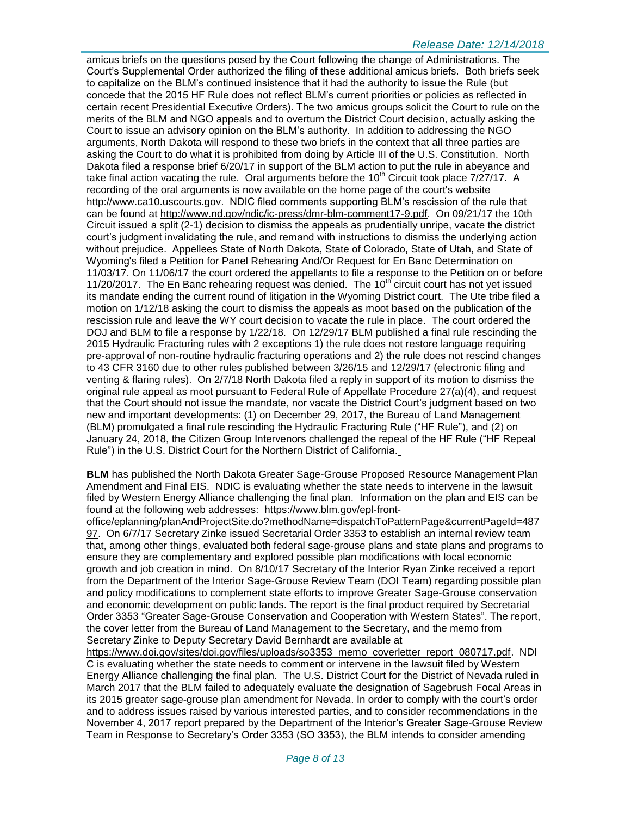amicus briefs on the questions posed by the Court following the change of Administrations. The Court's Supplemental Order authorized the filing of these additional amicus briefs. Both briefs seek to capitalize on the BLM's continued insistence that it had the authority to issue the Rule (but concede that the 2015 HF Rule does not reflect BLM's current priorities or policies as reflected in certain recent Presidential Executive Orders). The two amicus groups solicit the Court to rule on the merits of the BLM and NGO appeals and to overturn the District Court decision, actually asking the Court to issue an advisory opinion on the BLM's authority. In addition to addressing the NGO arguments, North Dakota will respond to these two briefs in the context that all three parties are asking the Court to do what it is prohibited from doing by Article III of the U.S. Constitution. North Dakota filed a response brief 6/20/17 in support of the BLM action to put the rule in abeyance and take final action vacating the rule. Oral arguments before the  $10<sup>th</sup>$  Circuit took place  $7/27/17$ . A recording of the oral arguments is now available on the home page of the court's website [http://www.ca10.uscourts.gov.](https://urldefense.proofpoint.com/v2/url?u=http-3A__www.ca10.uscourts.gov&d=DwMGaQ&c=2s2mvbfY0UoSKkl6_Ol9wg&r=-wqsZnBxny594KY8HeElow&m=Ul_VtJUX6iW5pvHjCcBxUWtskC0F4Dhry3sPtcEHvCw&s=laRHiLDv5w8otcQWQjpn82WMieoB2AZ-Q4M1LFQPL5s&e=) NDIC filed comments supporting BLM's rescission of the rule that can be found at [http://www.nd.gov/ndic/ic-press/dmr-blm-comment17-9.pdf.](http://www.nd.gov/ndic/ic-press/dmr-blm-comment17-9.pdf) On 09/21/17 the 10th Circuit issued a split (2-1) decision to dismiss the appeals as prudentially unripe, vacate the district court's judgment invalidating the rule, and remand with instructions to dismiss the underlying action without prejudice. Appellees State of North Dakota, State of Colorado, State of Utah, and State of Wyoming's filed a Petition for Panel Rehearing And/Or Request for En Banc Determination on 11/03/17. On 11/06/17 the court ordered the appellants to file a response to the Petition on or before 11/20/2017. The En Banc rehearing request was denied. The  $10<sup>th</sup>$  circuit court has not yet issued its mandate ending the current round of litigation in the Wyoming District court. The Ute tribe filed a motion on 1/12/18 asking the court to dismiss the appeals as moot based on the publication of the rescission rule and leave the WY court decision to vacate the rule in place. The court ordered the DOJ and BLM to file a response by 1/22/18. On 12/29/17 BLM published a final rule rescinding the 2015 Hydraulic Fracturing rules with 2 exceptions 1) the rule does not restore language requiring pre-approval of non-routine hydraulic fracturing operations and 2) the rule does not rescind changes to 43 CFR 3160 due to other rules published between 3/26/15 and 12/29/17 (electronic filing and venting & flaring rules). On 2/7/18 North Dakota filed a reply in support of its motion to dismiss the original rule appeal as moot pursuant to Federal Rule of Appellate Procedure 27(a)(4), and request that the Court should not issue the mandate, nor vacate the District Court's judgment based on two new and important developments: (1) on December 29, 2017, the Bureau of Land Management (BLM) promulgated a final rule rescinding the Hydraulic Fracturing Rule ("HF Rule"), and (2) on January 24, 2018, the Citizen Group Intervenors challenged the repeal of the HF Rule ("HF Repeal Rule") in the U.S. District Court for the Northern District of California.

**BLM** has published the North Dakota Greater Sage-Grouse Proposed Resource Management Plan Amendment and Final EIS. NDIC is evaluating whether the state needs to intervene in the lawsuit filed by Western Energy Alliance challenging the final plan. Information on the plan and EIS can be found at the following web addresses: [https://www.blm.gov/epl-front-](https://www.blm.gov/epl-front-office/eplanning/planAndProjectSite.do?methodName=dispatchToPatternPage¤tPageId=48797)

[office/eplanning/planAndProjectSite.do?methodName=dispatchToPatternPage&currentPageId=487](https://www.blm.gov/epl-front-office/eplanning/planAndProjectSite.do?methodName=dispatchToPatternPage¤tPageId=48797) [97.](https://www.blm.gov/epl-front-office/eplanning/planAndProjectSite.do?methodName=dispatchToPatternPage¤tPageId=48797) On 6/7/17 Secretary Zinke issued Secretarial Order 3353 to establish an internal review team that, among other things, evaluated both federal sage-grouse plans and state plans and programs to ensure they are complementary and explored possible plan modifications with local economic growth and job creation in mind. On 8/10/17 Secretary of the Interior Ryan Zinke received a report from the Department of the Interior Sage-Grouse Review Team (DOI Team) regarding possible plan and policy modifications to complement state efforts to improve Greater Sage-Grouse conservation and economic development on public lands. The report is the final product required by Secretarial Order 3353 "Greater Sage-Grouse Conservation and Cooperation with Western States". The report, the cover letter from the Bureau of Land Management to the Secretary, and the memo from Secretary Zinke to Deputy Secretary David Bernhardt are available at

[https://www.doi.gov/sites/doi.gov/files/uploads/so3353\\_memo\\_coverletter\\_report\\_080717.pdf.](https://www.doi.gov/sites/doi.gov/files/uploads/so3353_memo_coverletter_report_080717.pdf) NDI C is evaluating whether the state needs to comment or intervene in the lawsuit filed by Western Energy Alliance challenging the final plan. The U.S. District Court for the District of Nevada ruled in March 2017 that the BLM failed to adequately evaluate the designation of Sagebrush Focal Areas in its 2015 greater sage-grouse plan amendment for Nevada. In order to comply with the court's order and to address issues raised by various interested parties, and to consider recommendations in the November 4, 2017 report prepared by the Department of the Interior's Greater Sage-Grouse Review Team in Response to Secretary's Order 3353 (SO 3353), the BLM intends to consider amending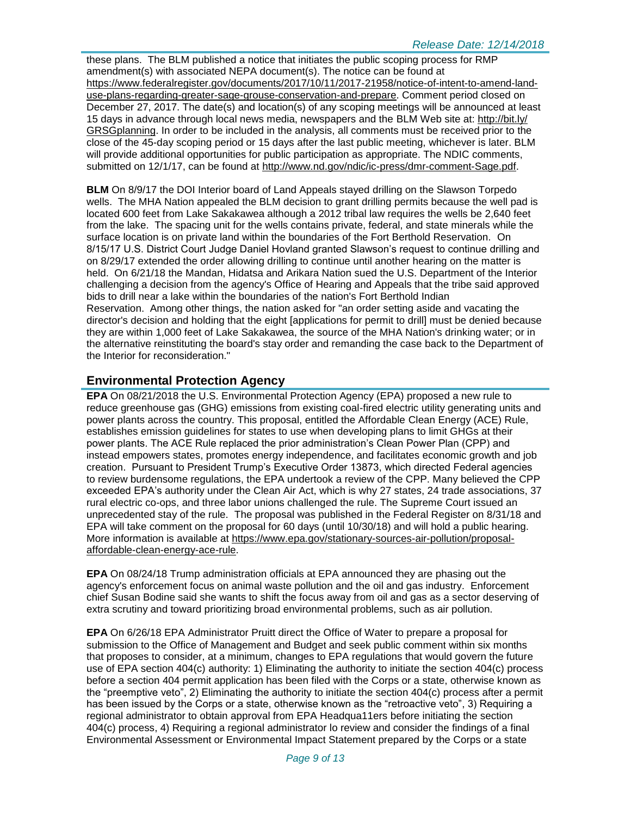these plans. The BLM published a notice that initiates the public scoping process for RMP amendment(s) with associated NEPA document(s). The notice can be found at [https://www.federalregister.gov/documents/2017/10/11/2017-21958/notice-of-intent-to-amend-land](https://www.federalregister.gov/documents/2017/10/11/2017-21958/notice-of-intent-to-amend-land-use-plans-regarding-greater-sage-grouse-conservation-and-prepare)[use-plans-regarding-greater-sage-grouse-conservation-and-prepare.](https://www.federalregister.gov/documents/2017/10/11/2017-21958/notice-of-intent-to-amend-land-use-plans-regarding-greater-sage-grouse-conservation-and-prepare) Comment period closed on December 27, 2017. The date(s) and location(s) of any scoping meetings will be announced at least 15 days in advance through local news media, newspapers and the BLM Web site at: [http://bit.ly/](http://bit.ly/​GRSGplanning) [GRSGplanning.](http://bit.ly/​GRSGplanning) In order to be included in the analysis, all comments must be received prior to the close of the 45-day scoping period or 15 days after the last public meeting, whichever is later. BLM will provide additional opportunities for public participation as appropriate. The NDIC comments, submitted on 12/1/17, can be found at [http://www.nd.gov/ndic/ic-press/dmr-comment-Sage.pdf.](http://www.nd.gov/ndic/ic-press/dmr-comment-Sage.pdf)

**BLM** On 8/9/17 the DOI Interior board of Land Appeals stayed drilling on the Slawson Torpedo wells. The MHA Nation appealed the BLM decision to grant drilling permits because the well pad is located 600 feet from Lake Sakakawea although a 2012 tribal law requires the wells be 2,640 feet from the lake. The spacing unit for the wells contains private, federal, and state minerals while the surface location is on private land within the boundaries of the Fort Berthold Reservation. On 8/15/17 U.S. District Court Judge Daniel Hovland granted Slawson's request to continue drilling and on 8/29/17 extended the order allowing drilling to continue until another hearing on the matter is held. On 6/21/18 the Mandan, Hidatsa and Arikara Nation sued the U.S. Department of the Interior challenging a decision from the agency's Office of Hearing and Appeals that the tribe said approved bids to drill near a lake within the boundaries of the nation's Fort Berthold Indian Reservation. Among other things, the nation asked for "an order setting aside and vacating the director's decision and holding that the eight [applications for permit to drill] must be denied because they are within 1,000 feet of Lake Sakakawea, the source of the MHA Nation's drinking water; or in the alternative reinstituting the board's stay order and remanding the case back to the Department of the Interior for reconsideration."

# **Environmental Protection Agency**

**EPA** On 08/21/2018 the U.S. Environmental Protection Agency (EPA) proposed a new rule to reduce greenhouse gas (GHG) emissions from existing coal-fired electric utility generating units and power plants across the country. This proposal, entitled the Affordable Clean Energy (ACE) Rule, establishes emission guidelines for states to use when developing plans to limit GHGs at their power plants. The ACE Rule replaced the prior administration's Clean Power Plan (CPP) and instead empowers states, promotes energy independence, and facilitates economic growth and job creation. Pursuant to President Trump's Executive Order 13873, which directed Federal agencies to review burdensome regulations, the EPA undertook a review of the CPP. Many believed the CPP exceeded EPA's authority under the Clean Air Act, which is why 27 states, 24 trade associations, 37 rural electric co-ops, and three labor unions challenged the rule. The Supreme Court issued an unprecedented stay of the rule. The proposal was published in the Federal Register on 8/31/18 and EPA will take comment on the proposal for 60 days (until 10/30/18) and will hold a public hearing. More information is available at [https://www.epa.gov/stationary-sources-air-pollution/proposal](https://www.epa.gov/stationary-sources-air-pollution/proposal-affordable-clean-energy-ace-rule)[affordable-clean-energy-ace-rule.](https://www.epa.gov/stationary-sources-air-pollution/proposal-affordable-clean-energy-ace-rule)

**EPA** On 08/24/18 Trump administration officials at EPA announced they are phasing out the agency's enforcement focus on animal waste pollution and the oil and gas industry. Enforcement chief Susan Bodine said she wants to shift the focus away from oil and gas as a sector deserving of extra scrutiny and toward prioritizing broad environmental problems, such as air pollution.

**EPA** On 6/26/18 EPA Administrator Pruitt direct the Office of Water to prepare a proposal for submission to the Office of Management and Budget and seek public comment within six months that proposes to consider, at a minimum, changes to EPA regulations that would govern the future use of EPA section 404(c) authority: 1) Eliminating the authority to initiate the section 404(c) process before a section 404 permit application has been filed with the Corps or a state, otherwise known as the "preemptive veto", 2) Eliminating the authority to initiate the section 404(c) process after a permit has been issued by the Corps or a state, otherwise known as the "retroactive veto", 3) Requiring a regional administrator to obtain approval from EPA Headqua11ers before initiating the section 404(c) process, 4) Requiring a regional administrator lo review and consider the findings of a final Environmental Assessment or Environmental Impact Statement prepared by the Corps or a state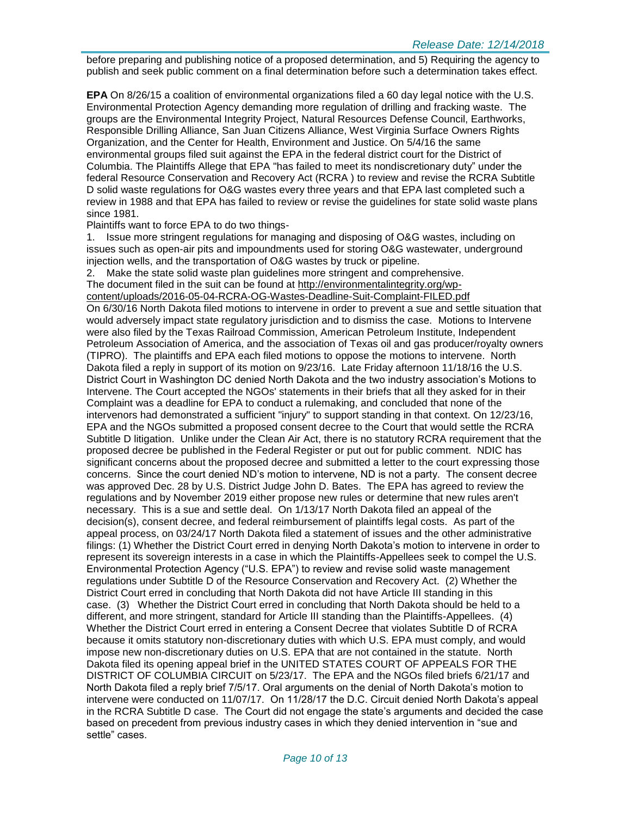before preparing and publishing notice of a proposed determination, and 5) Requiring the agency to publish and seek public comment on a final determination before such a determination takes effect.

**EPA** On 8/26/15 a coalition of environmental organizations filed a 60 day legal notice with the U.S. Environmental Protection Agency demanding more regulation of drilling and fracking waste. The groups are the Environmental Integrity Project, Natural Resources Defense Council, Earthworks, Responsible Drilling Alliance, San Juan Citizens Alliance, West Virginia Surface Owners Rights Organization, and the Center for Health, Environment and Justice. On 5/4/16 the same environmental groups filed suit against the EPA in the federal district court for the District of Columbia. The Plaintiffs Allege that EPA "has failed to meet its nondiscretionary duty" under the federal Resource Conservation and Recovery Act (RCRA ) to review and revise the RCRA Subtitle D solid waste regulations for O&G wastes every three years and that EPA last completed such a review in 1988 and that EPA has failed to review or revise the guidelines for state solid waste plans since 1981.

Plaintiffs want to force EPA to do two things-

1. Issue more stringent regulations for managing and disposing of O&G wastes, including on issues such as open-air pits and impoundments used for storing O&G wastewater, underground injection wells, and the transportation of O&G wastes by truck or pipeline.

2. Make the state solid waste plan guidelines more stringent and comprehensive. The document filed in the suit can be found at [http://environmentalintegrity.org/wp](http://environmentalintegrity.org/wp-content/uploads/2016-05-04-RCRA-OG-Wastes-Deadline-Suit-Complaint-FILED.pdf)[content/uploads/2016-05-04-RCRA-OG-Wastes-Deadline-Suit-Complaint-FILED.pdf](http://environmentalintegrity.org/wp-content/uploads/2016-05-04-RCRA-OG-Wastes-Deadline-Suit-Complaint-FILED.pdf) On 6/30/16 North Dakota filed motions to intervene in order to prevent a sue and settle situation that would adversely impact state regulatory jurisdiction and to dismiss the case. Motions to Intervene were also filed by the Texas Railroad Commission, American Petroleum Institute, Independent Petroleum Association of America, and the association of Texas oil and gas producer/royalty owners (TIPRO). The plaintiffs and EPA each filed motions to oppose the motions to intervene. North Dakota filed a reply in support of its motion on 9/23/16. Late Friday afternoon 11/18/16 the U.S. District Court in Washington DC denied North Dakota and the two industry association's Motions to Intervene. The Court accepted the NGOs' statements in their briefs that all they asked for in their Complaint was a deadline for EPA to conduct a rulemaking, and concluded that none of the intervenors had demonstrated a sufficient "injury" to support standing in that context. On 12/23/16, EPA and the NGOs submitted a proposed consent decree to the Court that would settle the RCRA Subtitle D litigation. Unlike under the Clean Air Act, there is no statutory RCRA requirement that the proposed decree be published in the Federal Register or put out for public comment. NDIC has significant concerns about the proposed decree and submitted a letter to the court expressing those concerns. Since the court denied ND's motion to intervene, ND is not a party. The consent decree was approved Dec. 28 by U.S. District Judge John D. Bates. The EPA has agreed to review the regulations and by November 2019 either propose new rules or determine that new rules aren't necessary. This is a sue and settle deal. On 1/13/17 North Dakota filed an appeal of the decision(s), consent decree, and federal reimbursement of plaintiffs legal costs. As part of the appeal process, on 03/24/17 North Dakota filed a statement of issues and the other administrative filings: (1) Whether the District Court erred in denying North Dakota's motion to intervene in order to represent its sovereign interests in a case in which the Plaintiffs-Appellees seek to compel the U.S. Environmental Protection Agency ("U.S. EPA") to review and revise solid waste management regulations under Subtitle D of the Resource Conservation and Recovery Act. (2) Whether the District Court erred in concluding that North Dakota did not have Article III standing in this case. (3) Whether the District Court erred in concluding that North Dakota should be held to a different, and more stringent, standard for Article III standing than the Plaintiffs-Appellees. (4) Whether the District Court erred in entering a Consent Decree that violates Subtitle D of RCRA because it omits statutory non-discretionary duties with which U.S. EPA must comply, and would impose new non-discretionary duties on U.S. EPA that are not contained in the statute. North Dakota filed its opening appeal brief in the UNITED STATES COURT OF APPEALS FOR THE DISTRICT OF COLUMBIA CIRCUIT on 5/23/17. The EPA and the NGOs filed briefs 6/21/17 and North Dakota filed a reply brief 7/5/17. Oral arguments on the denial of North Dakota's motion to intervene were conducted on 11/07/17. On 11/28/17 the D.C. Circuit denied North Dakota's appeal in the RCRA Subtitle D case. The Court did not engage the state's arguments and decided the case based on precedent from previous industry cases in which they denied intervention in "sue and settle" cases.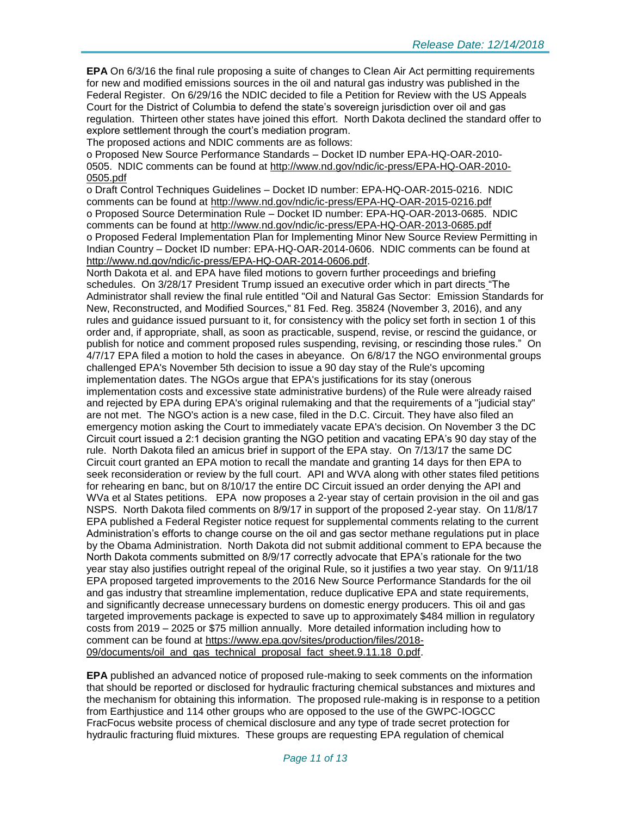**EPA** On 6/3/16 the final rule proposing a suite of changes to Clean Air Act permitting requirements for new and modified emissions sources in the oil and natural gas industry was published in the Federal Register. On 6/29/16 the NDIC decided to file a Petition for Review with the US Appeals Court for the District of Columbia to defend the state's sovereign jurisdiction over oil and gas regulation. Thirteen other states have joined this effort. North Dakota declined the standard offer to explore settlement through the court's mediation program.

The proposed actions and NDIC comments are as follows:

o Proposed New Source Performance Standards – Docket ID number EPA-HQ-OAR-2010- 0505. NDIC comments can be found at [http://www.nd.gov/ndic/ic-press/EPA-HQ-OAR-2010-](http://www.nd.gov/ndic/ic-press/EPA-HQ-OAR-2010-0505.pdf) [0505.pdf](http://www.nd.gov/ndic/ic-press/EPA-HQ-OAR-2010-0505.pdf)

o Draft Control Techniques Guidelines – Docket ID number: EPA-HQ-OAR-2015-0216. NDIC comments can be found at<http://www.nd.gov/ndic/ic-press/EPA-HQ-OAR-2015-0216.pdf> o Proposed Source Determination Rule – Docket ID number: EPA-HQ-OAR-2013-0685. NDIC comments can be found at<http://www.nd.gov/ndic/ic-press/EPA-HQ-OAR-2013-0685.pdf> o Proposed Federal Implementation Plan for Implementing Minor New Source Review Permitting in Indian Country – Docket ID number: EPA-HQ-OAR-2014-0606. NDIC comments can be found at [http://www.nd.gov/ndic/ic-press/EPA-HQ-OAR-2014-0606.pdf.](http://www.nd.gov/ndic/ic-press/EPA-HQ-OAR-2014-0606.pdf)

North Dakota et al. and EPA have filed motions to govern further proceedings and briefing schedules. On 3/28/17 President Trump issued an executive order which in part directs "The Administrator shall review the final rule entitled "Oil and Natural Gas Sector: Emission Standards for New, Reconstructed, and Modified Sources," 81 Fed. Reg. 35824 (November 3, 2016), and any rules and guidance issued pursuant to it, for consistency with the policy set forth in section 1 of this order and, if appropriate, shall, as soon as practicable, suspend, revise, or rescind the guidance, or publish for notice and comment proposed rules suspending, revising, or rescinding those rules." On 4/7/17 EPA filed a motion to hold the cases in abeyance. On 6/8/17 the NGO environmental groups challenged EPA's November 5th decision to issue a 90 day stay of the Rule's upcoming implementation dates. The NGOs argue that EPA's justifications for its stay (onerous implementation costs and excessive state administrative burdens) of the Rule were already raised and rejected by EPA during EPA's original rulemaking and that the requirements of a "judicial stay" are not met. The NGO's action is a new case, filed in the D.C. Circuit. They have also filed an emergency motion asking the Court to immediately vacate EPA's decision. On November 3 the DC Circuit court issued a 2:1 decision granting the NGO petition and vacating EPA's 90 day stay of the rule. North Dakota filed an amicus brief in support of the EPA stay. On 7/13/17 the same DC Circuit court granted an EPA motion to recall the mandate and granting 14 days for then EPA to seek reconsideration or review by the full court. API and WVA along with other states filed petitions for rehearing en banc, but on 8/10/17 the entire DC Circuit issued an order denying the API and WVa et al States petitions. EPA now proposes a 2-year stay of certain provision in the oil and gas NSPS. North Dakota filed comments on 8/9/17 in support of the proposed 2-year stay. On 11/8/17 EPA published a Federal Register notice request for supplemental comments relating to the current Administration's efforts to change course on the oil and gas sector methane regulations put in place by the Obama Administration. North Dakota did not submit additional comment to EPA because the North Dakota comments submitted on 8/9/17 correctly advocate that EPA's rationale for the two year stay also justifies outright repeal of the original Rule, so it justifies a two year stay. On 9/11/18 EPA proposed targeted improvements to the 2016 New Source Performance Standards for the oil and gas industry that streamline implementation, reduce duplicative EPA and state requirements, and significantly decrease unnecessary burdens on domestic energy producers. This oil and gas targeted improvements package is expected to save up to approximately \$484 million in regulatory costs from 2019 – 2025 or \$75 million annually. More detailed information including how to comment can be found at [https://www.epa.gov/sites/production/files/2018-](https://www.epa.gov/sites/production/files/2018-09/documents/oil_and_gas_technical_proposal_fact_sheet.9.11.18_0.pdf) [09/documents/oil\\_and\\_gas\\_technical\\_proposal\\_fact\\_sheet.9.11.18\\_0.pdf.](https://www.epa.gov/sites/production/files/2018-09/documents/oil_and_gas_technical_proposal_fact_sheet.9.11.18_0.pdf)

**EPA** published an advanced notice of proposed rule-making to seek comments on the information that should be reported or disclosed for hydraulic fracturing chemical substances and mixtures and the mechanism for obtaining this information. The proposed rule-making is in response to a petition from Earthjustice and 114 other groups who are opposed to the use of the GWPC-IOGCC FracFocus website process of chemical disclosure and any type of trade secret protection for hydraulic fracturing fluid mixtures. These groups are requesting EPA regulation of chemical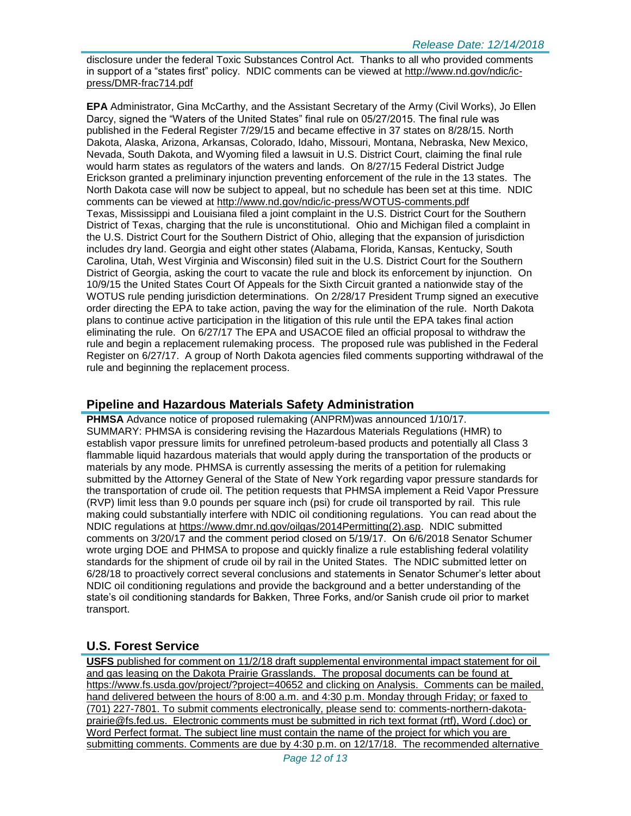disclosure under the federal Toxic Substances Control Act. Thanks to all who provided comments in support of a "states first" policy. NDIC comments can be viewed at [http://www.nd.gov/ndic/ic](http://www.nd.gov/ndic/ic-press/DMR-frac714.pdf)[press/DMR-frac714.pdf](http://www.nd.gov/ndic/ic-press/DMR-frac714.pdf)

**EPA** Administrator, Gina McCarthy, and the Assistant Secretary of the Army (Civil Works), Jo Ellen Darcy, signed the "Waters of the United States" final rule on 05/27/2015. The final rule was published in the Federal Register 7/29/15 and became effective in 37 states on 8/28/15. North Dakota, Alaska, Arizona, Arkansas, Colorado, Idaho, Missouri, Montana, Nebraska, New Mexico, Nevada, South Dakota, and Wyoming filed a lawsuit in U.S. District Court, claiming the final rule would harm states as regulators of the waters and lands. On 8/27/15 Federal District Judge Erickson granted a preliminary injunction preventing enforcement of the rule in the 13 states. The North Dakota case will now be subject to appeal, but no schedule has been set at this time. NDIC comments can be viewed at<http://www.nd.gov/ndic/ic-press/WOTUS-comments.pdf> Texas, Mississippi and Louisiana filed a joint complaint in the U.S. District Court for the Southern District of Texas, charging that the rule is unconstitutional. Ohio and Michigan filed a complaint in the U.S. District Court for the Southern District of Ohio, alleging that the expansion of jurisdiction includes dry land. Georgia and eight other states (Alabama, Florida, Kansas, Kentucky, South Carolina, Utah, West Virginia and Wisconsin) filed suit in the U.S. District Court for the Southern District of Georgia, asking the court to vacate the rule and block its enforcement by injunction. On 10/9/15 the United States Court Of Appeals for the Sixth Circuit granted a nationwide stay of the WOTUS rule pending jurisdiction determinations. On 2/28/17 President Trump signed an executive order directing the EPA to take action, paving the way for the elimination of the rule. North Dakota plans to continue active participation in the litigation of this rule until the EPA takes final action eliminating the rule. On 6/27/17 The EPA and USACOE filed an official proposal to withdraw the rule and begin a replacement rulemaking process. The proposed rule was published in the Federal Register on 6/27/17. A group of North Dakota agencies filed comments supporting withdrawal of the rule and beginning the replacement process.

### **Pipeline and Hazardous Materials Safety Administration**

**PHMSA** Advance notice of proposed rulemaking (ANPRM)was announced 1/10/17. SUMMARY: PHMSA is considering revising the Hazardous Materials Regulations (HMR) to establish vapor pressure limits for unrefined petroleum-based products and potentially all Class 3 flammable liquid hazardous materials that would apply during the transportation of the products or materials by any mode. PHMSA is currently assessing the merits of a petition for rulemaking submitted by the Attorney General of the State of New York regarding vapor pressure standards for the transportation of crude oil. The petition requests that PHMSA implement a Reid Vapor Pressure (RVP) limit less than 9.0 pounds per square inch (psi) for crude oil transported by rail. This rule making could substantially interfere with NDIC oil conditioning regulations. You can read about the NDIC regulations at [https://www.dmr.nd.gov/oilgas/2014Permitting\(2\).asp.](https://www.dmr.nd.gov/oilgas/2014Permitting(2).asp) NDIC submitted comments on 3/20/17 and the comment period closed on 5/19/17. On 6/6/2018 Senator Schumer wrote urging DOE and PHMSA to propose and quickly finalize a rule establishing federal volatility standards for the shipment of crude oil by rail in the United States. The NDIC submitted letter on 6/28/18 to proactively correct several conclusions and statements in Senator Schumer's letter about NDIC oil conditioning regulations and provide the background and a better understanding of the state's oil conditioning standards for Bakken, Three Forks, and/or Sanish crude oil prior to market transport.

# **U.S. Forest Service**

**USFS** published for comment on 11/2/18 draft supplemental environmental impact statement for oil and gas leasing on the Dakota Prairie Grasslands. The proposal documents can be found at <https://www.fs.usda.gov/project/?project=40652> and clicking on Analysis. Comments can be mailed, hand delivered between the hours of 8:00 a.m. and 4:30 p.m. Monday through Friday; or faxed to (701) 227-7801. To submit comments electronically, please send to: [comments-northern-dakota](mailto:comments-northern-dakota-prairie@fs.fed.us)[prairie@fs.fed.us.](mailto:comments-northern-dakota-prairie@fs.fed.us) Electronic comments must be submitted in rich text format (rtf), Word (.doc) or Word Perfect format. The subject line must contain the name of the project for which you are submitting comments. Comments are due by 4:30 p.m. on 12/17/18. The recommended alternative